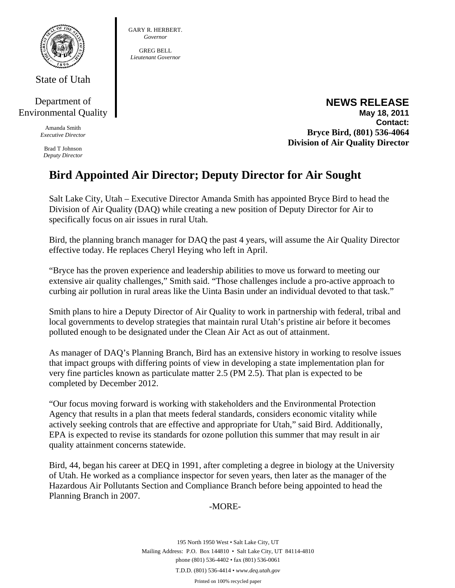

State of Utah

## Department of Environmental Quality

Amanda Smith *Executive Director* 

Brad T Johnson *Deputy Director* 

#### GARY R. HERBERT. *Governor*

GREG BELL *Lieutenant Governor* 

### **NEWS RELEASE May 18, 2011 Contact: Bryce Bird, (801) 536-4064 Division of Air Quality Director**

# **Bird Appointed Air Director; Deputy Director for Air Sought**

Salt Lake City, Utah – Executive Director Amanda Smith has appointed Bryce Bird to head the Division of Air Quality (DAQ) while creating a new position of Deputy Director for Air to specifically focus on air issues in rural Utah.

Bird, the planning branch manager for DAQ the past 4 years, will assume the Air Quality Director effective today. He replaces Cheryl Heying who left in April.

"Bryce has the proven experience and leadership abilities to move us forward to meeting our extensive air quality challenges," Smith said. "Those challenges include a pro-active approach to curbing air pollution in rural areas like the Uinta Basin under an individual devoted to that task."

Smith plans to hire a Deputy Director of Air Quality to work in partnership with federal, tribal and local governments to develop strategies that maintain rural Utah's pristine air before it becomes polluted enough to be designated under the Clean Air Act as out of attainment.

As manager of DAQ's Planning Branch, Bird has an extensive history in working to resolve issues that impact groups with differing points of view in developing a state implementation plan for very fine particles known as particulate matter 2.5 (PM 2.5). That plan is expected to be completed by December 2012.

"Our focus moving forward is working with stakeholders and the Environmental Protection Agency that results in a plan that meets federal standards, considers economic vitality while actively seeking controls that are effective and appropriate for Utah," said Bird. Additionally, EPA is expected to revise its standards for ozone pollution this summer that may result in air quality attainment concerns statewide.

Bird, 44, began his career at DEQ in 1991, after completing a degree in biology at the University of Utah. He worked as a compliance inspector for seven years, then later as the manager of the Hazardous Air Pollutants Section and Compliance Branch before being appointed to head the Planning Branch in 2007.

# -MORE-

195 North 1950 West • Salt Lake City, UT Mailing Address: P.O. Box 144810 • Salt Lake City, UT 84114-4810 phone (801) 536-4402 • fax (801) 536-0061 T.D.D. (801) 536-4414 • *www.deq.utah.gov*  Printed on 100% recycled paper